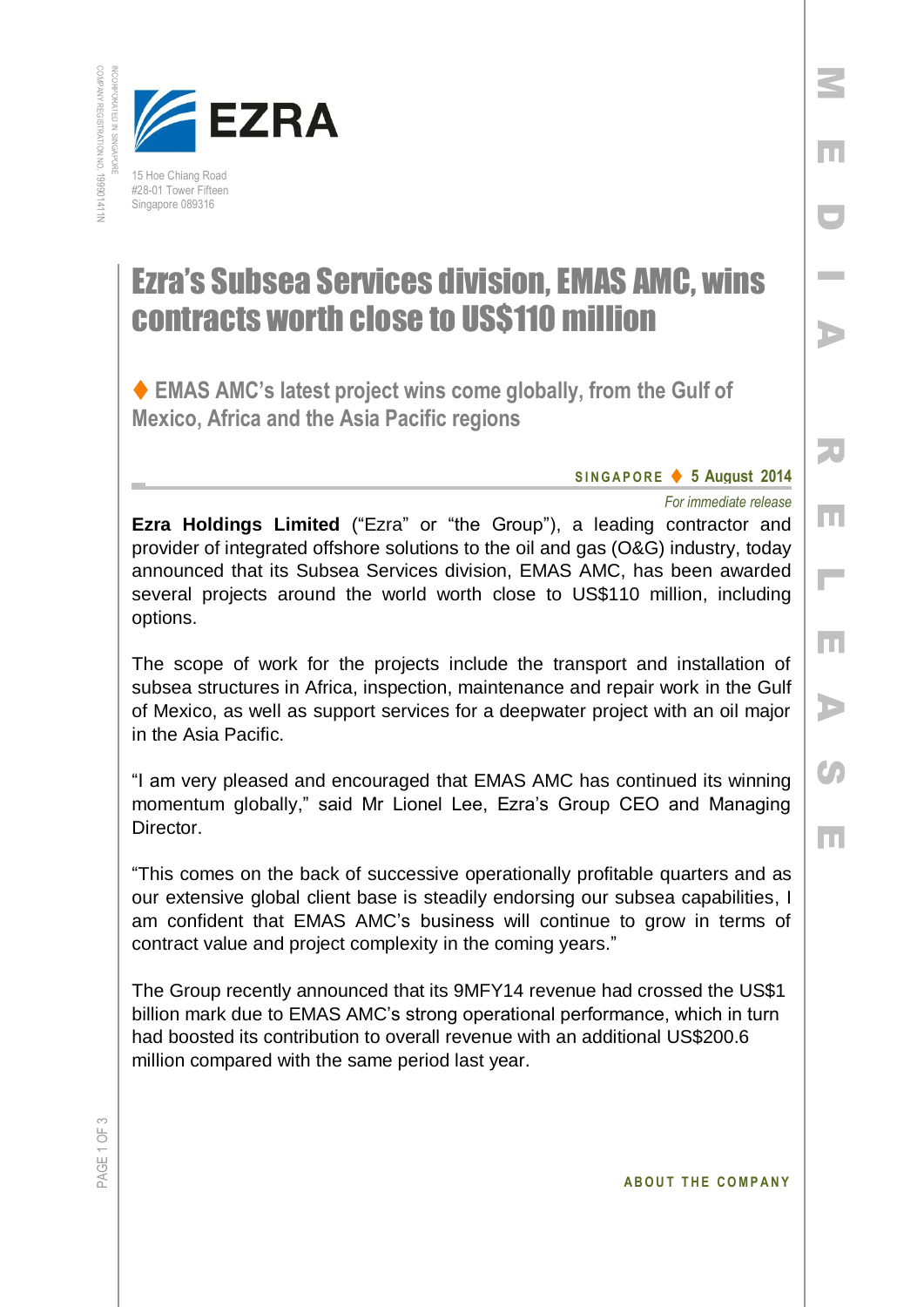

## Ezra's Subsea Services division, EMAS AMC, wins contracts worth close to US\$110 million

 **EMAS AMC's latest project wins come globally, from the Gulf of Mexico, Africa and the Asia Pacific regions**

## **S I N G A P O R E 5 August 2014**

## *For immediate release*

M

E

D

**Inches** 

A

R

E

 $\overline{\phantom{a}}$ 

E

A

**CO** 

E

**Ezra Holdings Limited** ("Ezra" or "the Group"), a leading contractor and provider of integrated offshore solutions to the oil and gas (O&G) industry, today announced that its Subsea Services division, EMAS AMC, has been awarded several projects around the world worth close to US\$110 million, including options.

The scope of work for the projects include the transport and installation of subsea structures in Africa, inspection, maintenance and repair work in the Gulf of Mexico, as well as support services for a deepwater project with an oil major in the Asia Pacific.

"I am very pleased and encouraged that EMAS AMC has continued its winning momentum globally," said Mr Lionel Lee, Ezra's Group CEO and Managing Director.

"This comes on the back of successive operationally profitable quarters and as our extensive global client base is steadily endorsing our subsea capabilities, I am confident that EMAS AMC's business will continue to grow in terms of contract value and project complexity in the coming years."

The Group recently announced that its 9MFY14 revenue had crossed the US\$1 billion mark due to EMAS AMC's strong operational performance, which in turn had boosted its contribution to overall revenue with an additional US\$200.6 million compared with the same period last year.

**ABOUT THE COMPANY**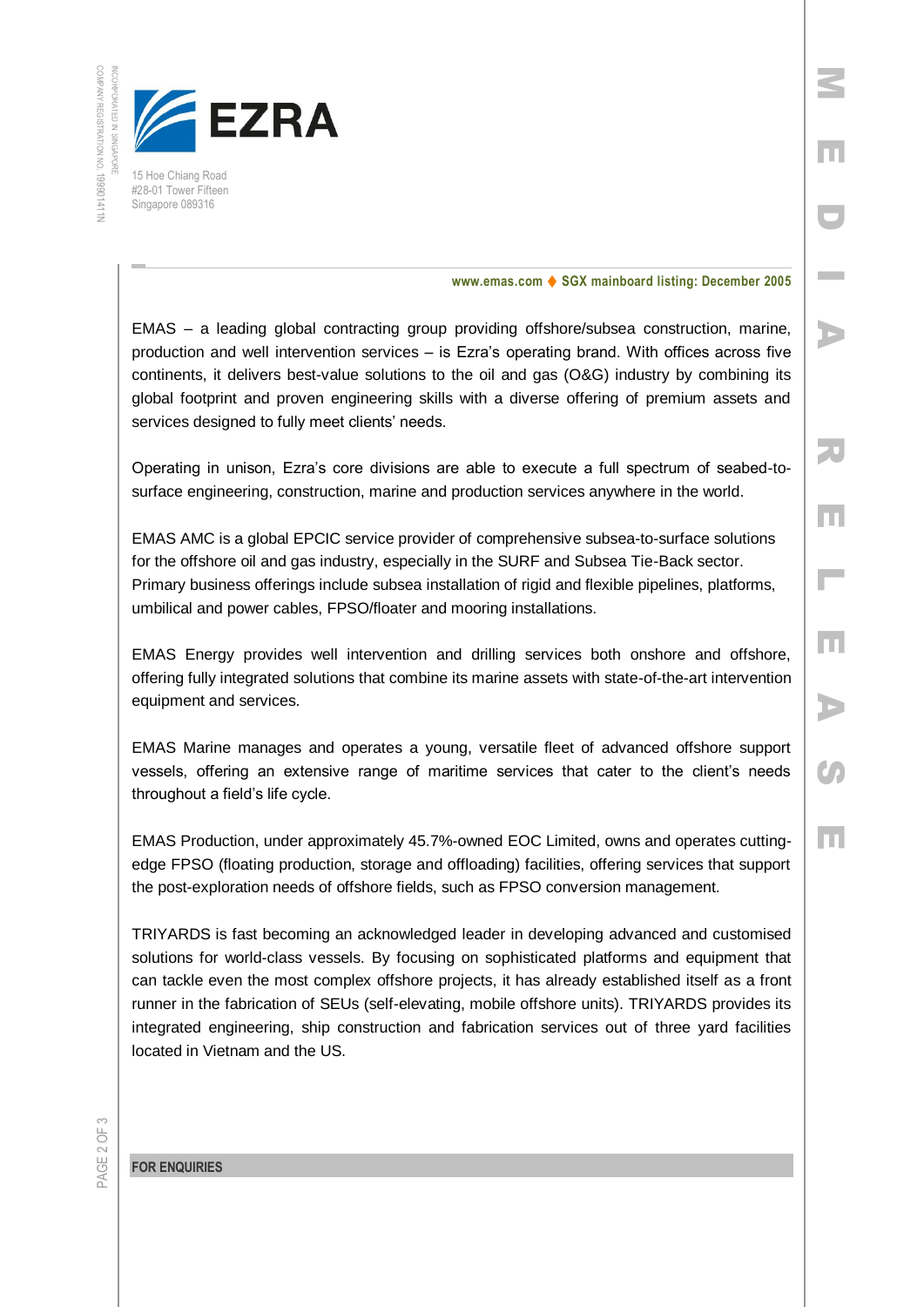

15 Hoe Chiang Road #28-01 Tower Fifteen Singapore 089316

## **www.emas.com ♦ SGX mainboard listing: December 2005**

M

E

D

**Inches** 

A

R

E

L

E

A

**C** 

E

EMAS – a leading global contracting group providing offshore/subsea construction, marine, production and well intervention services – is Ezra's operating brand. With offices across five continents, it delivers best-value solutions to the oil and gas (O&G) industry by combining its global footprint and proven engineering skills with a diverse offering of premium assets and services designed to fully meet clients' needs.

Operating in unison, Ezra's core divisions are able to execute a full spectrum of seabed-tosurface engineering, construction, marine and production services anywhere in the world.

EMAS AMC is a global EPCIC service provider of comprehensive subsea-to-surface solutions for the offshore oil and gas industry, especially in the SURF and Subsea Tie-Back sector. Primary business offerings include subsea installation of rigid and flexible pipelines, platforms, umbilical and power cables, FPSO/floater and mooring installations.

EMAS Energy provides well intervention and drilling services both onshore and offshore, offering fully integrated solutions that combine its marine assets with state-of-the-art intervention equipment and services.

EMAS Marine manages and operates a young, versatile fleet of advanced offshore support vessels, offering an extensive range of maritime services that cater to the client's needs throughout a field's life cycle.

EMAS Production, under approximately 45.7%-owned EOC Limited, owns and operates cuttingedge FPSO (floating production, storage and offloading) facilities, offering services that support the post-exploration needs of offshore fields, such as FPSO conversion management.

TRIYARDS is fast becoming an acknowledged leader in developing advanced and customised solutions for world-class vessels. By focusing on sophisticated platforms and equipment that can tackle even the most complex offshore projects, it has already established itself as a front runner in the fabrication of SEUs (self-elevating, mobile offshore units). TRIYARDS provides its integrated engineering, ship construction and fabrication services out of three yard facilities located in Vietnam and the US.